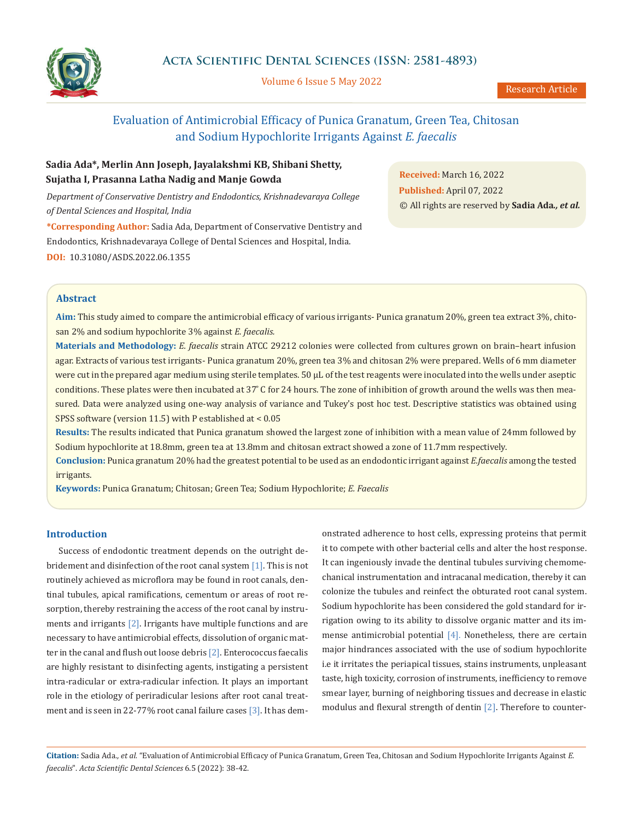

Volume 6 Issue 5 May 2022

# Evaluation of Antimicrobial Efficacy of Punica Granatum, Green Tea, Chitosan and Sodium Hypochlorite Irrigants Against *E. faecalis*

# **Sadia Ada\*, Merlin Ann Joseph, Jayalakshmi KB, Shibani Shetty, Sujatha I, Prasanna Latha Nadig and Manje Gowda**

*Department of Conservative Dentistry and Endodontics, Krishnadevaraya College of Dental Sciences and Hospital, India*

**\*Corresponding Author:** Sadia Ada, Department of Conservative Dentistry and Endodontics, Krishnadevaraya College of Dental Sciences and Hospital, India. **DOI:** [10.31080/ASDS.2022.06.1355](https://actascientific.com/ASDS/pdf/ASDS-06-1355.pdf)

**Received:** March 16, 2022 **Published:** April 07, 2022 © All rights are reserved by **Sadia Ada***., et al.*

## **Abstract**

**Aim:** This study aimed to compare the antimicrobial efficacy of various irrigants- Punica granatum 20%, green tea extract 3%, chitosan 2% and sodium hypochlorite 3% against *E. faecalis.*

**Materials and Methodology:** *E. faecalis* strain ATCC 29212 colonies were collected from cultures grown on brain–heart infusion agar. Extracts of various test irrigants- Punica granatum 20%, green tea 3% and chitosan 2% were prepared. Wells of 6 mm diameter were cut in the prepared agar medium using sterile templates. 50 µL of the test reagents were inoculated into the wells under aseptic conditions. These plates were then incubated at 37° C for 24 hours. The zone of inhibition of growth around the wells was then measured. Data were analyzed using one-way analysis of variance and Tukey's post hoc test. Descriptive statistics was obtained using SPSS software (version 11.5) with P established at < 0.05

**Results:** The results indicated that Punica granatum showed the largest zone of inhibition with a mean value of 24mm followed by Sodium hypochlorite at 18.8mm, green tea at 13.8mm and chitosan extract showed a zone of 11.7mm respectively.

**Conclusion:** Punica granatum 20% had the greatest potential to be used as an endodontic irrigant against *E.faecalis* among the tested irrigants.

**Keywords:** Punica Granatum; Chitosan; Green Tea; Sodium Hypochlorite; *E. Faecalis*

## **Introduction**

Success of endodontic treatment depends on the outright debridement and disinfection of the root canal system [1]. This is not routinely achieved as microflora may be found in root canals, dentinal tubules, apical ramifications, cementum or areas of root resorption, thereby restraining the access of the root canal by instruments and irrigants [2]. Irrigants have multiple functions and are necessary to have antimicrobial effects, dissolution of organic matter in the canal and flush out loose debris  $[2]$ . Enterococcus faecalis are highly resistant to disinfecting agents, instigating a persistent intra-radicular or extra-radicular infection. It plays an important role in the etiology of periradicular lesions after root canal treatment and is seen in 22-77% root canal failure cases [3]. It has demonstrated adherence to host cells, expressing proteins that permit it to compete with other bacterial cells and alter the host response. It can ingeniously invade the dentinal tubules surviving chemomechanical instrumentation and intracanal medication, thereby it can colonize the tubules and reinfect the obturated root canal system. Sodium hypochlorite has been considered the gold standard for irrigation owing to its ability to dissolve organic matter and its immense antimicrobial potential  $[4]$ . Nonetheless, there are certain major hindrances associated with the use of sodium hypochlorite i.e it irritates the periapical tissues, stains instruments, unpleasant taste, high toxicity, corrosion of instruments, inefficiency to remove smear layer, burning of neighboring tissues and decrease in elastic modulus and flexural strength of dentin [2]. Therefore to counter-

**Citation:** Sadia Ada*., et al.* "Evaluation of Antimicrobial Efficacy of Punica Granatum, Green Tea, Chitosan and Sodium Hypochlorite Irrigants Against *E. faecalis*". *Acta Scientific Dental Sciences* 6.5 (2022): 38-42.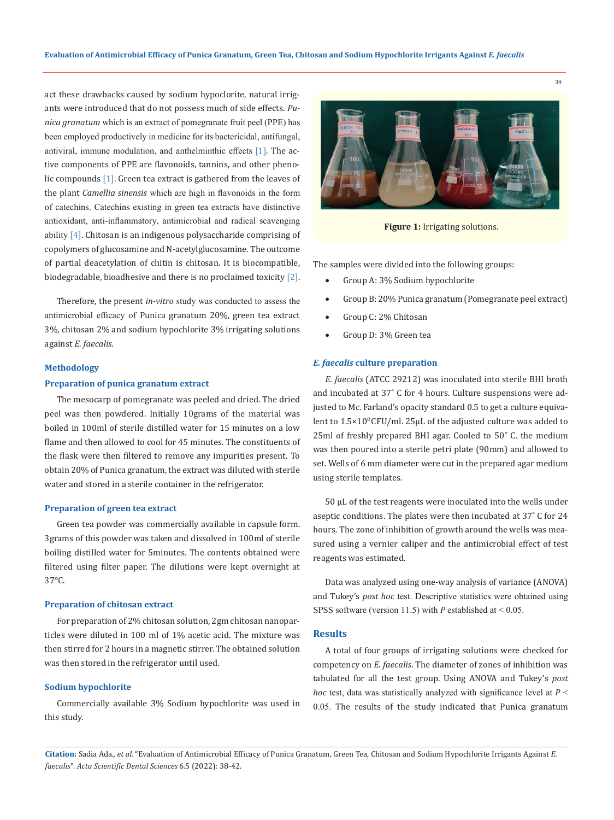act these drawbacks caused by sodium hypoclorite, natural irrigants were introduced that do not possess much of side effects. *Punica granatum* which is an extract of pomegranate fruit peel (PPE) has been employed productively in medicine for its bactericidal, antifungal, antiviral, immune modulation, and anthelminthic effects [1]. The active components of PPE are flavonoids, tannins, and other phenolic compounds [1]. Green tea extract is gathered from the leaves of the plant *Camellia sinensis* which are high in flavonoids in the form of catechins. Catechins existing in green tea extracts have distinctive antioxidant, anti-inflammatory, antimicrobial and radical scavenging ability  $[4]$ . Chitosan is an indigenous polysaccharide comprising of copolymers of glucosamine and N-acetylglucosamine. The outcome of partial deacetylation of chitin is chitosan. It is biocompatible, biodegradable, bioadhesive and there is no proclaimed toxicity [2].

Therefore, the present *in-vitro* study was conducted to assess the antimicrobial efficacy of Punica granatum 20%, green tea extract 3%, chitosan 2% and sodium hypochlorite 3% irrigating solutions against *E. faecalis*.

#### **Methodology**

#### **Preparation of punica granatum extract**

The mesocarp of pomegranate was peeled and dried. The dried peel was then powdered. Initially 10grams of the material was boiled in 100ml of sterile distilled water for 15 minutes on a low flame and then allowed to cool for 45 minutes. The constituents of the flask were then filtered to remove any impurities present. To obtain 20% of Punica granatum, the extract was diluted with sterile water and stored in a sterile container in the refrigerator.

#### **Preparation of green tea extract**

Green tea powder was commercially available in capsule form. 3grams of this powder was taken and dissolved in 100ml of sterile boiling distilled water for 5minutes. The contents obtained were filtered using filter paper. The dilutions were kept overnight at 37°C.

#### **Preparation of chitosan extract**

For preparation of 2% chitosan solution, 2gm chitosan nanoparticles were diluted in 100 ml of 1% acetic acid. The mixture was then stirred for 2 hours in a magnetic stirrer. The obtained solution was then stored in the refrigerator until used.

## **Sodium hypochlorite**

Commercially available 3% Sodium hypochlorite was used in this study.



**Figure 1:** Irrigating solutions.

The samples were divided into the following groups:

- Group A: 3% Sodium hypochlorite
- Group B: 20% Punica granatum (Pomegranate peel extract)
- Group C: 2% Chitosan
- Group D: 3% Green tea

#### *E. faecalis* **culture preparation**

*E. faecalis* (ATCC 29212) was inoculated into sterile BHI broth and incubated at 37° C for 4 hours. Culture suspensions were adjusted to Mc. Farland's opacity standard 0.5 to get a culture equivalent to  $1.5 \times 10^8$  CFU/ml. 25µL of the adjusted culture was added to  $25$ ml of freshly prepared BHI agar. Cooled to  $50^\circ$  C. the medium was then poured into a sterile petri plate (90mm) and allowed to set. Wells of 6 mm diameter were cut in the prepared agar medium using sterile templates.

50 µL of the test reagents were inoculated into the wells under aseptic conditions. The plates were then incubated at 37°C for 24 hours. The zone of inhibition of growth around the wells was measured using a vernier caliper and the antimicrobial effect of test reagents was estimated.

Data was analyzed using one-way analysis of variance (ANOVA) and Tukey's *post hoc* test. Descriptive statistics were obtained using SPSS software (version 11.5) with *P* established at < 0.05.

#### **Results**

A total of four groups of irrigating solutions were checked for competency on *E. faecalis*. The diameter of zones of inhibition was tabulated for all the test group. Using ANOVA and Tukey's *post hoc* test, data was statistically analyzed with significance level at *P* < 0.05. The results of the study indicated that Punica granatum

**Citation:** Sadia Ada*., et al.* "Evaluation of Antimicrobial Efficacy of Punica Granatum, Green Tea, Chitosan and Sodium Hypochlorite Irrigants Against *E. faecalis*". *Acta Scientific Dental Sciences* 6.5 (2022): 38-42.

39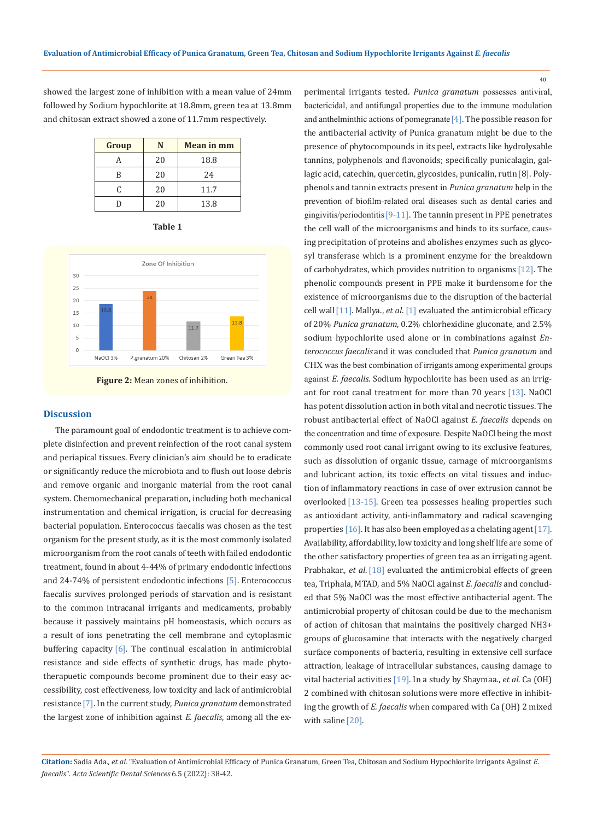showed the largest zone of inhibition with a mean value of 24mm followed by Sodium hypochlorite at 18.8mm, green tea at 13.8mm and chitosan extract showed a zone of 11.7mm respectively.

| Group | N  | <b>Mean in mm</b> |
|-------|----|-------------------|
|       | 20 | 18.8              |
| R     | 20 | 24                |
| C     | 20 | 11.7              |
|       | 20 | 13.8              |







#### **Discussion**

The paramount goal of endodontic treatment is to achieve complete disinfection and prevent reinfection of the root canal system and periapical tissues. Every clinician's aim should be to eradicate or significantly reduce the microbiota and to flush out loose debris and remove organic and inorganic material from the root canal system. Chemomechanical preparation, including both mechanical instrumentation and chemical irrigation, is crucial for decreasing bacterial population. Enterococcus faecalis was chosen as the test organism for the present study, as it is the most commonly isolated microorganism from the root canals of teeth with failed endodontic treatment, found in about 4-44% of primary endodontic infections and 24-74% of persistent endodontic infections [5]. Enterococcus faecalis survives prolonged periods of starvation and is resistant to the common intracanal irrigants and medicaments, probably because it passively maintains pH homeostasis, which occurs as a result of ions penetrating the cell membrane and cytoplasmic buffering capacity [6]. The continual escalation in antimicrobial resistance and side effects of synthetic drugs, has made phytotherapuetic compounds become prominent due to their easy accessibility, cost effectiveness, low toxicity and lack of antimicrobial resistance[7]. In the current study, *Punica granatum* demonstrated the largest zone of inhibition against *E. faecalis*, among all the experimental irrigants tested. *Punica granatum* possesses antiviral, bactericidal, and antifungal properties due to the immune modulation and anthelminthic actions of pomegranate  $[4]$ . The possible reason for the antibacterial activity of Punica granatum might be due to the presence of phytocompounds in its peel, extracts like hydrolysable tannins, polyphenols and flavonoids; specifically punicalagin, gallagic acid, catechin, quercetin, glycosides, punicalin, rutin<sup>[8]</sup>. Polyphenols and tannin extracts present in *Punica granatum* help in the prevention of biofilm-related oral diseases such as dental caries and gingivitis/periodontitis[9-11]. The tannin present in PPE penetrates the cell wall of the microorganisms and binds to its surface, causing precipitation of proteins and abolishes enzymes such as glycosyl transferase which is a prominent enzyme for the breakdown of carbohydrates, which provides nutrition to organisms [12]. The phenolic compounds present in PPE make it burdensome for the existence of microorganisms due to the disruption of the bacterial cell wall[11]. Mallya., *et al*. [1] evaluated the antimicrobial efficacy of 20% *Punica granatum*, 0.2% chlorhexidine gluconate, and 2.5% sodium hypochlorite used alone or in combinations against *Enterococcus faecalis* and it was concluded that *Punica granatum* and CHX was the best combination of irrigants among experimental groups against *E. faecalis*. Sodium hypochlorite has been used as an irrigant for root canal treatment for more than 70 years [13]. NaOCl has potent dissolution action in both vital and necrotic tissues. The robust antibacterial effect of NaOCl against *E. faecalis* depends on the concentration and time of exposure. Despite NaOCl being the most commonly used root canal irrigant owing to its exclusive features, such as dissolution of organic tissue, carnage of microorganisms and lubricant action, its toxic effects on vital tissues and induction of inflammatory reactions in case of over extrusion cannot be overlooked [13-15]. Green tea possesses healing properties such as antioxidant activity, anti-inflammatory and radical scavenging properties [16]. It has also been employed as a chelating agent [17]. Availability, affordability, low toxicity and long shelf life are some of the other satisfactory properties of green tea as an irrigating agent. Prabhakar., *et al.* [18] evaluated the antimicrobial effects of green tea, Triphala, MTAD, and 5% NaOCl against *E. faecalis* and concluded that 5% NaOCl was the most effective antibacterial agent. The antimicrobial property of chitosan could be due to the mechanism of action of chitosan that maintains the positively charged NH3+ groups of glucosamine that interacts with the negatively charged surface components of bacteria, resulting in extensive cell surface attraction, leakage of intracellular substances, causing damage to vital bacterial activities [19]. In a study by Shaymaa., *et al.* Ca (OH) 2 combined with chitosan solutions were more effective in inhibiting the growth of *E. faecalis* when compared with Ca (OH) 2 mixed with saline [20].

40

**Citation:** Sadia Ada*., et al.* "Evaluation of Antimicrobial Efficacy of Punica Granatum, Green Tea, Chitosan and Sodium Hypochlorite Irrigants Against *E. faecalis*". *Acta Scientific Dental Sciences* 6.5 (2022): 38-42.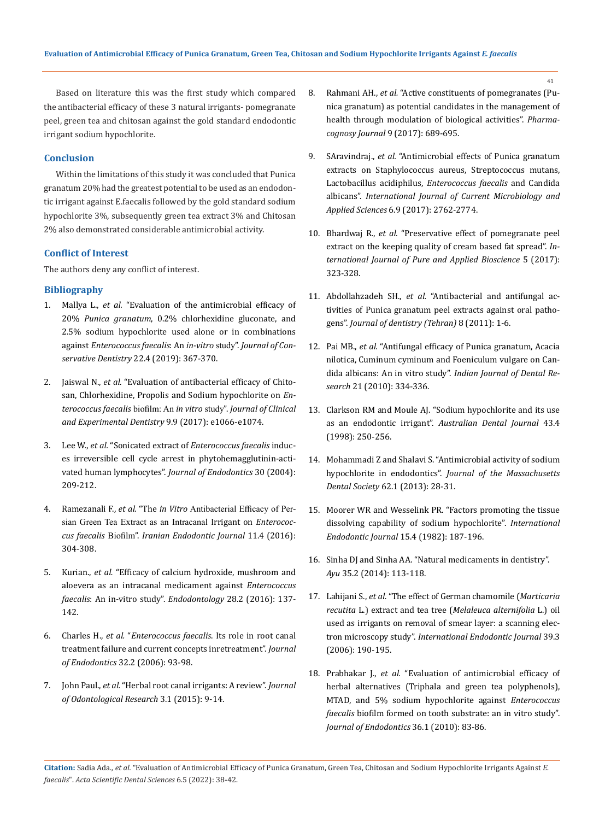Based on literature this was the first study which compared the antibacterial efficacy of these 3 natural irrigants- pomegranate peel, green tea and chitosan against the gold standard endodontic irrigant sodium hypochlorite.

### **Conclusion**

Within the limitations of this study it was concluded that Punica granatum 20% had the greatest potential to be used as an endodontic irrigant against E.faecalis followed by the gold standard sodium hypochlorite 3%, subsequently green tea extract 3% and Chitosan 2% also demonstrated considerable antimicrobial activity.

# **Conflict of Interest**

The authors deny any conflict of interest.

## **Bibliography**

- 1. Mallya L., *et al.* ["Evaluation of the antimicrobial efficacy of](https://pubmed.ncbi.nlm.nih.gov/31802821/)  20% *Punica granatum*[, 0.2% chlorhexidine gluconate, and](https://pubmed.ncbi.nlm.nih.gov/31802821/)  [2.5% sodium hypochlorite used alone or in combinations](https://pubmed.ncbi.nlm.nih.gov/31802821/)  against *[Enterococcus faecalis](https://pubmed.ncbi.nlm.nih.gov/31802821/)*: An *in-vitro* study". *Journal of Conservative Dentistry* [22.4 \(2019\): 367-370.](https://pubmed.ncbi.nlm.nih.gov/31802821/)
- 2. Jaiswal N., *et al.* ["Evaluation of antibacterial efficacy of Chito](https://pubmed.ncbi.nlm.nih.gov/29075407/)[san, Chlorhexidine, Propolis and Sodium hypochlorite on](https://pubmed.ncbi.nlm.nih.gov/29075407/) *En[terococcus faecalis](https://pubmed.ncbi.nlm.nih.gov/29075407/)* biofilm: An *in vitro* study". *Journal of Clinical [and Experimental Dentistry](https://pubmed.ncbi.nlm.nih.gov/29075407/)* 9.9 (2017): e1066-e1074.
- 3. Lee W., *et al.* "Sonicated extract of *[Enterococcus faecalis](https://pubmed.ncbi.nlm.nih.gov/15085047/)* induc[es irreversible cell cycle arrest in phytohemagglutinin-acti](https://pubmed.ncbi.nlm.nih.gov/15085047/)vated human lymphocytes". *[Journal of Endodontics](https://pubmed.ncbi.nlm.nih.gov/15085047/)* 30 (2004): [209-212.](https://pubmed.ncbi.nlm.nih.gov/15085047/)
- 4. Ramezanali F., *et al.* "The *in Vitro* [Antibacterial Efficacy of Per](https://pubmed.ncbi.nlm.nih.gov/27790260/)[sian Green Tea Extract as an Intracanal](https://pubmed.ncbi.nlm.nih.gov/27790260/) Irrigant on *Enterococcus faecalis* Biofilm". *[Iranian Endodontic Journal](https://pubmed.ncbi.nlm.nih.gov/27790260/)* 11.4 (2016): [304-308.](https://pubmed.ncbi.nlm.nih.gov/27790260/)
- 5. Kurian., *et al.* ["Efficacy of calcium hydroxide, mushroom and](https://www.researchgate.net/publication/312441618_Efficacy_of_calcium_hydroxide_mushroom_and_Aloe_vera_as_an_intracanal_medicament_against_Enterococcus_faecalis_An_in_vitro_study)  [aloevera as an intracanal medicament against](https://www.researchgate.net/publication/312441618_Efficacy_of_calcium_hydroxide_mushroom_and_Aloe_vera_as_an_intracanal_medicament_against_Enterococcus_faecalis_An_in_vitro_study) *Enterococcus faecalis*[: An in-vitro study".](https://www.researchgate.net/publication/312441618_Efficacy_of_calcium_hydroxide_mushroom_and_Aloe_vera_as_an_intracanal_medicament_against_Enterococcus_faecalis_An_in_vitro_study) *Endodontology* 28.2 (2016): 137- [142.](https://www.researchgate.net/publication/312441618_Efficacy_of_calcium_hydroxide_mushroom_and_Aloe_vera_as_an_intracanal_medicament_against_Enterococcus_faecalis_An_in_vitro_study)
- 6. Charles H., *et al.* "*[Enterococcus faecalis](https://pubmed.ncbi.nlm.nih.gov/16427453/)*. Its role in root canal [treatment failure and current concepts inretreatment".](https://pubmed.ncbi.nlm.nih.gov/16427453/) *Journal of Endodontics* [32.2 \(2006\): 93-98.](https://pubmed.ncbi.nlm.nih.gov/16427453/)
- 7. John Paul., *et al.* "Herbal root canal irrigants: A review". *Journal of Odontological Research* 3.1 (2015): 9-14.
- 8. Rahmani AH., *et al.* ["Active constituents of pomegranates \(Pu](https://www.researchgate.net/publication/318501777_Active_Constituents_of_Pomegranates_Punica_granatum_as_Potential_Candidates_in_the_Management_of_Health_through_Modulation_of_Biological_Activities)[nica granatum\) as potential candidates in the management of](https://www.researchgate.net/publication/318501777_Active_Constituents_of_Pomegranates_Punica_granatum_as_Potential_Candidates_in_the_Management_of_Health_through_Modulation_of_Biological_Activities)  [health through modulation of biological activities".](https://www.researchgate.net/publication/318501777_Active_Constituents_of_Pomegranates_Punica_granatum_as_Potential_Candidates_in_the_Management_of_Health_through_Modulation_of_Biological_Activities) *Pharma[cognosy Journal](https://www.researchgate.net/publication/318501777_Active_Constituents_of_Pomegranates_Punica_granatum_as_Potential_Candidates_in_the_Management_of_Health_through_Modulation_of_Biological_Activities)* 9 (2017): 689-695.
- 9. SAravindraj., *et al.* ["Antimicrobial effects of Punica granatum](https://www.researchgate.net/publication/320141296_Antimicrobial_Effects_of_Punica_granatum_Extracts_on_Staphylococcus_aureus_Streptococcus_mutans_Lactobacillus_acidophilus_Enterococcus_faecalis_and_Candida_albicans)  [extracts on Staphylococcus aureus, Streptococcus mutans,](https://www.researchgate.net/publication/320141296_Antimicrobial_Effects_of_Punica_granatum_Extracts_on_Staphylococcus_aureus_Streptococcus_mutans_Lactobacillus_acidophilus_Enterococcus_faecalis_and_Candida_albicans)  Lactobacillus acidiphilus, *[Enterococcus faecalis](https://www.researchgate.net/publication/320141296_Antimicrobial_Effects_of_Punica_granatum_Extracts_on_Staphylococcus_aureus_Streptococcus_mutans_Lactobacillus_acidophilus_Enterococcus_faecalis_and_Candida_albicans)* and Candida albicans". *[International Journal of Current Microbiology and](https://www.researchgate.net/publication/320141296_Antimicrobial_Effects_of_Punica_granatum_Extracts_on_Staphylococcus_aureus_Streptococcus_mutans_Lactobacillus_acidophilus_Enterococcus_faecalis_and_Candida_albicans)  Applied Sciences* [6.9 \(2017\): 2762-2774.](https://www.researchgate.net/publication/320141296_Antimicrobial_Effects_of_Punica_granatum_Extracts_on_Staphylococcus_aureus_Streptococcus_mutans_Lactobacillus_acidophilus_Enterococcus_faecalis_and_Candida_albicans)
- 10. Bhardwaj R., *et al.* ["Preservative effect of pomegranate peel](http://www.ijpab.com/form/2017%20Volume%205,%20issue%206/IJPAB-2017-5-6-323-328.pdf)  [extract on the keeping quality of cream based fat spread".](http://www.ijpab.com/form/2017%20Volume%205,%20issue%206/IJPAB-2017-5-6-323-328.pdf) *In[ternational Journal of Pure and Applied Bioscience](http://www.ijpab.com/form/2017%20Volume%205,%20issue%206/IJPAB-2017-5-6-323-328.pdf)* 5 (2017): [323-328.](http://www.ijpab.com/form/2017%20Volume%205,%20issue%206/IJPAB-2017-5-6-323-328.pdf)
- 11. Abdollahzadeh SH., *et al.* ["Antibacterial and antifungal ac](https://www.ncbi.nlm.nih.gov/pmc/articles/PMC3184731/)tivities of Punica granatum [peel extracts against oral patho](https://www.ncbi.nlm.nih.gov/pmc/articles/PMC3184731/)gens". *[Journal of dentistry \(Tehran\)](https://www.ncbi.nlm.nih.gov/pmc/articles/PMC3184731/)* 8 (2011): 1-6.
- 12. Pai MB., *et al.* ["Antifungal efficacy of](https://pubmed.ncbi.nlm.nih.gov/20930339/) Punica granatum, Acacia nilotica, Cuminum cyminum and [Foeniculum vulgare](https://pubmed.ncbi.nlm.nih.gov/20930339/) on Candida albicans: An in vitro study". *[Indian Journal of Dental Re](https://pubmed.ncbi.nlm.nih.gov/20930339/)search* [21 \(2010\): 334-336.](https://pubmed.ncbi.nlm.nih.gov/20930339/)
- 13. [Clarkson RM and Moule AJ. "Sodium hypochlorite and its use](https://pubmed.ncbi.nlm.nih.gov/9775472/)  as an endodontic irrigant". *[Australian Dental Journal](https://pubmed.ncbi.nlm.nih.gov/9775472/)* 43.4 [\(1998\): 250-256.](https://pubmed.ncbi.nlm.nih.gov/9775472/)
- 14. [Mohammadi Z and Shalavi S. "Antimicrobial activity of sodium](https://www.hindawi.com/journals/ijd/2020/6483026/)  hypochlorite in endodontics". *[Journal of the Massachusetts](https://www.hindawi.com/journals/ijd/2020/6483026/)  Dental Society* [62.1 \(2013\): 28-31.](https://www.hindawi.com/journals/ijd/2020/6483026/)
- 15. [Moorer WR and Wesselink PR. "Factors promoting the tissue](https://pubmed.ncbi.nlm.nih.gov/6964523/)  [dissolving capability of sodium hypochlorite".](https://pubmed.ncbi.nlm.nih.gov/6964523/) *International [Endodontic Journal](https://pubmed.ncbi.nlm.nih.gov/6964523/)* 15.4 (1982): 187-196.
- 16. [Sinha DJ and Sinha AA. "Natural medicaments in dentistry".](file:///C:/Users/DELL/Desktop/07-02-2022/PDF/ASDS/ASDS-22-RA-064/1.%09Sinha%20DJ%20and%20Sinha%20AA.%20“Natural%20medicaments%20in%20dentistry”.%20Ayu%2035.2%20(2014):%20113-118.) *Ayu* [35.2 \(2014\): 113-118.](file:///C:/Users/DELL/Desktop/07-02-2022/PDF/ASDS/ASDS-22-RA-064/1.%09Sinha%20DJ%20and%20Sinha%20AA.%20“Natural%20medicaments%20in%20dentistry”.%20Ayu%2035.2%20(2014):%20113-118.)
- 17. Lahijani S., *et al.* ["The effect of German chamomile \(](https://pubmed.ncbi.nlm.nih.gov/16507072/)*Marticaria recutita* L.) extract and tea tree (*[Melaleuca alternifolia](https://pubmed.ncbi.nlm.nih.gov/16507072/)* L.) oil [used as irrigants on removal of smear layer: a scanning elec](https://pubmed.ncbi.nlm.nih.gov/16507072/)tron microscopy study". *[International Endodontic Journal](https://pubmed.ncbi.nlm.nih.gov/16507072/)* 39.3 [\(2006\): 190-195.](https://pubmed.ncbi.nlm.nih.gov/16507072/)
- 18. Prabhakar J., *et al.* ["Evaluation of antimicrobial efficacy of](https://pubmed.ncbi.nlm.nih.gov/20003940/)  [herbal alternatives \(Triphala and green tea polyphenols\),](https://pubmed.ncbi.nlm.nih.gov/20003940/)  [MTAD, and 5% sodium hypochlorite against](https://pubmed.ncbi.nlm.nih.gov/20003940/) *Enterococcus faecalis* [biofilm formed on tooth substrate: an in vitro study".](https://pubmed.ncbi.nlm.nih.gov/20003940/)  *[Journal of Endodontics](https://pubmed.ncbi.nlm.nih.gov/20003940/)* 36.1 (2010): 83-86.

41